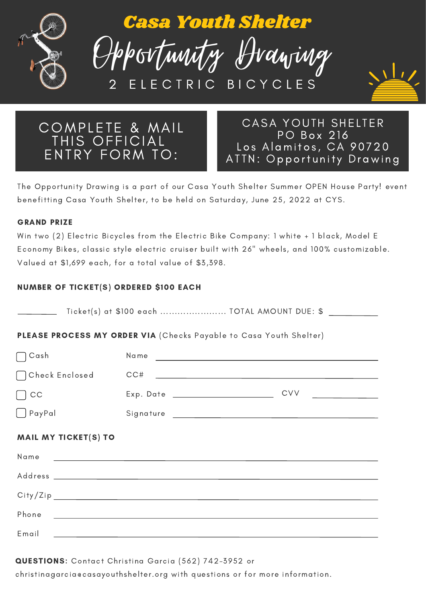

Casa Youth Shelter





COMPLETE & MAIL THIS OFFICIAL ENTRY FORM TO:

CASA YOUTH SHELTER PO Box 216 Los Alamitos, CA 90720 ATTN: Opportunity Drawing

The Opportunity Drawing is a part of our Casa Youth Shelter Summer OPEN House Party! event benefitting Casa Youth Shelter, to be held on Saturday, June 25, 2022 at CYS.

### GRAND PRIZE

Win two (2) Electric Bicycles from the Electric Bike Company: 1 white + 1 black, Model E Economy Bikes, classic style electric cruiser built with 26" wheels, and 100% customizable. Valued at \$1,699 each, for a total value of \$3,398.

# NUMBER OF TICKET(S) ORDERED \$100 EACH

|                             | PLEASE PROCESS MY ORDER VIA (Checks Payable to Casa Youth Shelter) |                                                 |
|-----------------------------|--------------------------------------------------------------------|-------------------------------------------------|
| $\bigcap$ Cash              |                                                                    |                                                 |
| [ ] Check Enclosed          |                                                                    |                                                 |
| $\lfloor$ $\rfloor$ CC      | Exp. Date __________________________                               | <b>CVV</b><br><u>and the state of the state</u> |
| $\Box$ PayPal               |                                                                    |                                                 |
| <b>MAIL MY TICKET(S) TO</b> |                                                                    |                                                 |
|                             |                                                                    |                                                 |
|                             |                                                                    |                                                 |
|                             |                                                                    |                                                 |
|                             |                                                                    |                                                 |
|                             |                                                                    |                                                 |

# QUESTIONS: Contact Christina Garcia (562) 742-3952 or

christinagarcia@casayouthshelter.org with questions or for more information.